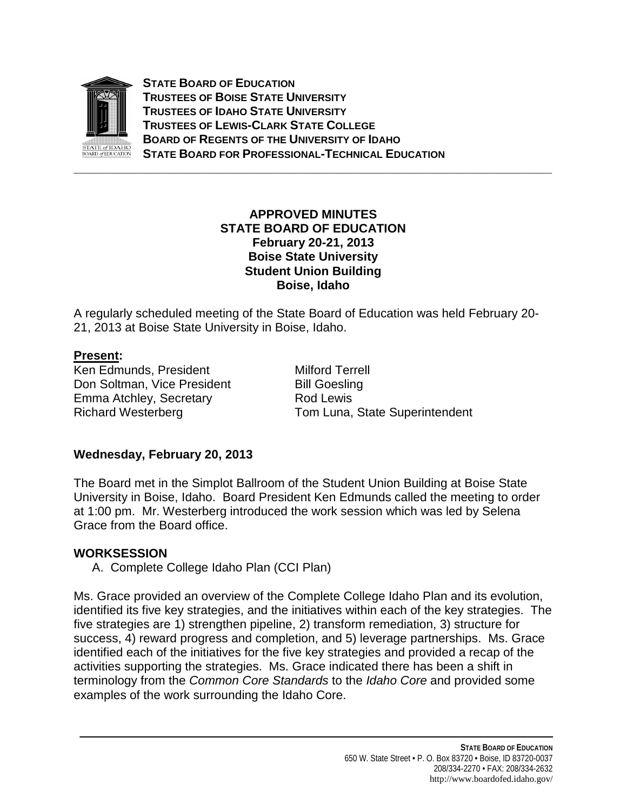

**STATE BOARD OF EDUCATION TRUSTEES OF BOISE STATE UNIVERSITY TRUSTEES OF IDAHO STATE UNIVERSITY TRUSTEES OF LEWIS-CLARK STATE COLLEGE BOARD OF REGENTS OF THE UNIVERSITY OF IDAHO STATE BOARD FOR PROFESSIONAL-TECHNICAL EDUCATION**

#### **APPROVED MINUTES STATE BOARD OF EDUCATION February 20-21, 2013 Boise State University Student Union Building Boise, Idaho**

**\_\_\_\_\_\_\_\_\_\_\_\_\_\_\_\_\_\_\_\_\_\_\_\_\_\_\_\_\_\_\_\_\_\_\_\_\_\_\_\_\_\_\_\_\_\_\_\_\_\_\_\_\_\_\_\_\_\_\_\_\_\_\_\_\_\_\_\_\_\_**

A regularly scheduled meeting of the State Board of Education was held February 20- 21, 2013 at Boise State University in Boise, Idaho.

#### **Present :**

Ken Edmunds, President Milford Terrell Don Soltman, Vice President Bill Goesling Emma Atchley, Secretary **Rod Lewis** 

Richard Westerberg Tom Luna, State Superintendent

# **Wednesday, February 20, 2013**

The Board met in the Simplot Ballroom of the Student Union Building at Boise State University in Boise, Idaho. Board President Ken Edmunds called the meeting to order at 1:00 pm. Mr. Westerberg introduced the work session which was led by Selena Grace from the Board office.

# **WORKSESSION**

A. Complete College Idaho Plan (CCI Plan)

Ms. Grace provided an overview of the Complete College Idaho Plan and its evolution, identified its five key strategies, and the initiatives within each of the key strategies. The five strategies are 1) strengthen pipeline, 2) transform remediation, 3) structure for success, 4) reward progress and completion, and 5) leverage partnerships. Ms. Grace identified each of the initiatives for the five key strategies and provided a recap of the activities supporting the strategies. Ms. Grace indicated there has been a shift in terminology from the *Common Core Standards* to the *Idaho Core* and provided some examples of the work surrounding the Idaho Core.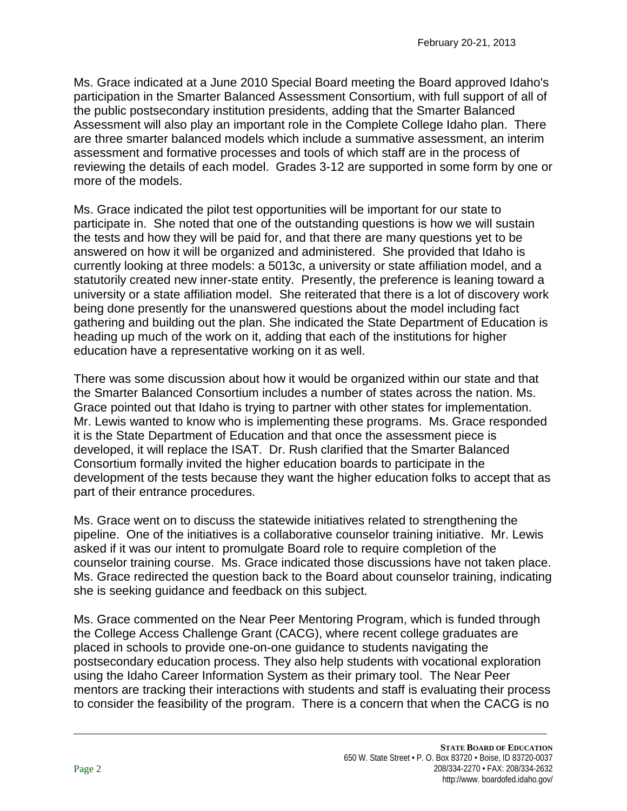Ms. Grace indicated at a June 2010 Special Board meeting the Board approved Idaho's participation in the Smarter Balanced Assessment Consortium, with full support of all of the public postsecondary institution presidents, adding that the Smarter Balanced Assessment will also play an important role in the Complete College Idaho plan. There are three smarter balanced models which include a summative assessment, an interim assessment and formative processes and tools of which staff are in the process of reviewing the details of each model. Grades 3-12 are supported in some form by one or more of the models.

Ms. Grace indicated the pilot test opportunities will be important for our state to participate in. She noted that one of the outstanding questions is how we will sustain the tests and how they will be paid for, and that there are many questions yet to be answered on how it will be organized and administered. She provided that Idaho is currently looking at three models: a 5013c, a university or state affiliation model, and a statutorily created new inner-state entity. Presently, the preference is leaning toward a university or a state affiliation model. She reiterated that there is a lot of discovery work being done presently for the unanswered questions about the model including fact gathering and building out the plan. She indicated the State Department of Education is heading up much of the work on it, adding that each of the institutions for higher education have a representative working on it as well.

There was some discussion about how it would be organized within our state and that the Smarter Balanced Consortium includes a number of states across the nation. Ms. Grace pointed out that Idaho is trying to partner with other states for implementation. Mr. Lewis wanted to know who is implementing these programs. Ms. Grace responded it is the State Department of Education and that once the assessment piece is developed, it will replace the ISAT. Dr. Rush clarified that the Smarter Balanced Consortium formally invited the higher education boards to participate in the development of the tests because they want the higher education folks to accept that as part of their entrance procedures.

Ms. Grace went on to discuss the statewide initiatives related to strengthening the pipeline. One of the initiatives is a collaborative counselor training initiative. Mr. Lewis asked if it was our intent to promulgate Board role to require completion of the counselor training course. Ms. Grace indicated those discussions have not taken place. Ms. Grace redirected the question back to the Board about counselor training, indicating she is seeking guidance and feedback on this subject.

Ms. Grace commented on the Near Peer Mentoring Program, which is funded through the College Access Challenge Grant (CACG), where recent college graduates are placed in schools to provide one-on-one guidance to students navigating the postsecondary education process. They also help students with vocational exploration using the Idaho Career Information System as their primary tool. The Near Peer mentors are tracking their interactions with students and staff is evaluating their process to consider the feasibility of the program. There is a concern that when the CACG is no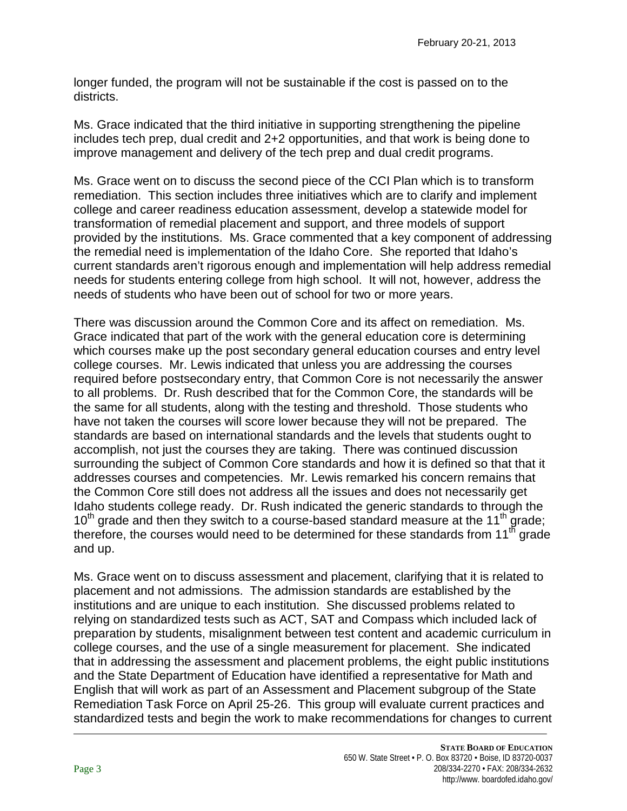longer funded, the program will not be sustainable if the cost is passed on to the districts.

Ms. Grace indicated that the third initiative in supporting strengthening the pipeline includes tech prep, dual credit and 2+2 opportunities, and that work is being done to improve management and delivery of the tech prep and dual credit programs.

Ms. Grace went on to discuss the second piece of the CCI Plan which is to transform remediation. This section includes three initiatives which are to clarify and implement college and career readiness education assessment, develop a statewide model for transformation of remedial placement and support, and three models of support provided by the institutions. Ms. Grace commented that a key component of addressing the remedial need is implementation of the Idaho Core. She reported that Idaho's current standards aren't rigorous enough and implementation will help address remedial needs for students entering college from high school. It will not, however, address the needs of students who have been out of school for two or more years.

There was discussion around the Common Core and its affect on remediation. Ms. Grace indicated that part of the work with the general education core is determining which courses make up the post secondary general education courses and entry level college courses. Mr. Lewis indicated that unless you are addressing the courses required before postsecondary entry, that Common Core is not necessarily the answer to all problems. Dr. Rush described that for the Common Core, the standards will be the same for all students, along with the testing and threshold. Those students who have not taken the courses will score lower because they will not be prepared. The standards are based on international standards and the levels that students ought to accomplish, not just the courses they are taking. There was continued discussion surrounding the subject of Common Core standards and how it is defined so that that it addresses courses and competencies. Mr. Lewis remarked his concern remains that the Common Core still does not address all the issues and does not necessarily get Idaho students college ready. Dr. Rush indicated the generic standards to through the  $10<sup>th</sup>$  grade and then they switch to a course-based standard measure at the 11<sup>th</sup> grade; therefore, the courses would need to be determined for these standards from 11<sup>th</sup> grade and up.

Ms. Grace went on to discuss assessment and placement, clarifying that it is related to placement and not admissions. The admission standards are established by the institutions and are unique to each institution. She discussed problems related to relying on standardized tests such as ACT, SAT and Compass which included lack of preparation by students, misalignment between test content and academic curriculum in college courses, and the use of a single measurement for placement. She indicated that in addressing the assessment and placement problems, the eight public institutions and the State Department of Education have identified a representative for Math and English that will work as part of an Assessment and Placement subgroup of the State Remediation Task Force on April 25-26. This group will evaluate current practices and standardized tests and begin the work to make recommendations for changes to current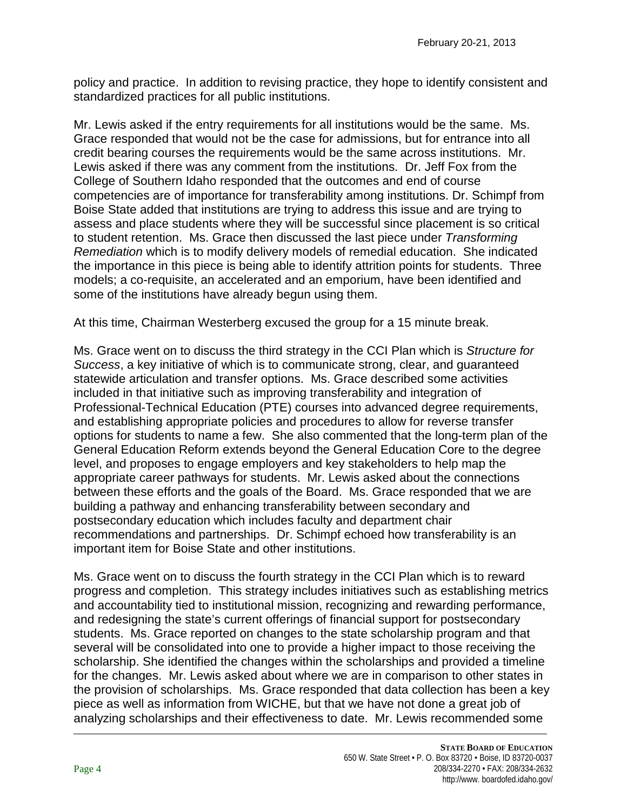policy and practice. In addition to revising practice, they hope to identify consistent and standardized practices for all public institutions.

Mr. Lewis asked if the entry requirements for all institutions would be the same. Ms. Grace responded that would not be the case for admissions, but for entrance into all credit bearing courses the requirements would be the same across institutions. Mr. Lewis asked if there was any comment from the institutions. Dr. Jeff Fox from the College of Southern Idaho responded that the outcomes and end of course competencies are of importance for transferability among institutions. Dr. Schimpf from Boise State added that institutions are trying to address this issue and are trying to assess and place students where they will be successful since placement is so critical to student retention. Ms. Grace then discussed the last piece under *Transforming Remediation* which is to modify delivery models of remedial education. She indicated the importance in this piece is being able to identify attrition points for students. Three models; a co-requisite, an accelerated and an emporium, have been identified and some of the institutions have already begun using them.

At this time, Chairman Westerberg excused the group for a 15 minute break.

Ms. Grace went on to discuss the third strategy in the CCI Plan which is *Structure for Success*, a key initiative of which is to communicate strong, clear, and guaranteed statewide articulation and transfer options. Ms. Grace described some activities included in that initiative such as improving transferability and integration of Professional-Technical Education (PTE) courses into advanced degree requirements, and establishing appropriate policies and procedures to allow for reverse transfer options for students to name a few. She also commented that the long-term plan of the General Education Reform extends beyond the General Education Core to the degree level, and proposes to engage employers and key stakeholders to help map the appropriate career pathways for students. Mr. Lewis asked about the connections between these efforts and the goals of the Board. Ms. Grace responded that we are building a pathway and enhancing transferability between secondary and postsecondary education which includes faculty and department chair recommendations and partnerships. Dr. Schimpf echoed how transferability is an important item for Boise State and other institutions.

Ms. Grace went on to discuss the fourth strategy in the CCI Plan which is to reward progress and completion. This strategy includes initiatives such as establishing metrics and accountability tied to institutional mission, recognizing and rewarding performance, and redesigning the state's current offerings of financial support for postsecondary students. Ms. Grace reported on changes to the state scholarship program and that several will be consolidated into one to provide a higher impact to those receiving the scholarship. She identified the changes within the scholarships and provided a timeline for the changes. Mr. Lewis asked about where we are in comparison to other states in the provision of scholarships. Ms. Grace responded that data collection has been a key piece as well as information from WICHE, but that we have not done a great job of analyzing scholarships and their effectiveness to date. Mr. Lewis recommended some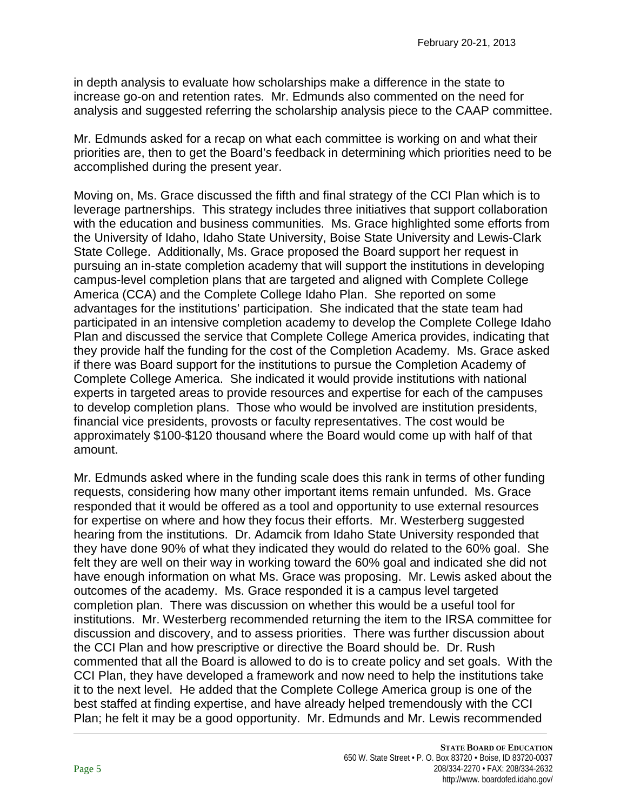in depth analysis to evaluate how scholarships make a difference in the state to increase go-on and retention rates. Mr. Edmunds also commented on the need for analysis and suggested referring the scholarship analysis piece to the CAAP committee.

Mr. Edmunds asked for a recap on what each committee is working on and what their priorities are, then to get the Board's feedback in determining which priorities need to be accomplished during the present year.

Moving on, Ms. Grace discussed the fifth and final strategy of the CCI Plan which is to leverage partnerships. This strategy includes three initiatives that support collaboration with the education and business communities. Ms. Grace highlighted some efforts from the University of Idaho, Idaho State University, Boise State University and Lewis-Clark State College. Additionally, Ms. Grace proposed the Board support her request in pursuing an in-state completion academy that will support the institutions in developing campus-level completion plans that are targeted and aligned with Complete College America (CCA) and the Complete College Idaho Plan. She reported on some advantages for the institutions' participation. She indicated that the state team had participated in an intensive completion academy to develop the Complete College Idaho Plan and discussed the service that Complete College America provides, indicating that they provide half the funding for the cost of the Completion Academy. Ms. Grace asked if there was Board support for the institutions to pursue the Completion Academy of Complete College America. She indicated it would provide institutions with national experts in targeted areas to provide resources and expertise for each of the campuses to develop completion plans. Those who would be involved are institution presidents, financial vice presidents, provosts or faculty representatives. The cost would be approximately \$100-\$120 thousand where the Board would come up with half of that amount.

Mr. Edmunds asked where in the funding scale does this rank in terms of other funding requests, considering how many other important items remain unfunded. Ms. Grace responded that it would be offered as a tool and opportunity to use external resources for expertise on where and how they focus their efforts. Mr. Westerberg suggested hearing from the institutions. Dr. Adamcik from Idaho State University responded that they have done 90% of what they indicated they would do related to the 60% goal. She felt they are well on their way in working toward the 60% goal and indicated she did not have enough information on what Ms. Grace was proposing. Mr. Lewis asked about the outcomes of the academy. Ms. Grace responded it is a campus level targeted completion plan. There was discussion on whether this would be a useful tool for institutions. Mr. Westerberg recommended returning the item to the IRSA committee for discussion and discovery, and to assess priorities. There was further discussion about the CCI Plan and how prescriptive or directive the Board should be. Dr. Rush commented that all the Board is allowed to do is to create policy and set goals. With the CCI Plan, they have developed a framework and now need to help the institutions take it to the next level. He added that the Complete College America group is one of the best staffed at finding expertise, and have already helped tremendously with the CCI Plan; he felt it may be a good opportunity. Mr. Edmunds and Mr. Lewis recommended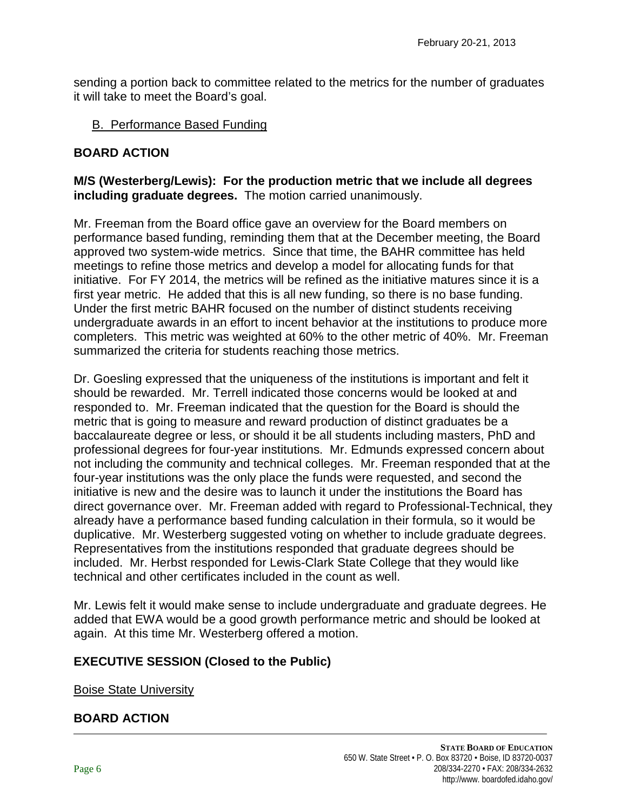sending a portion back to committee related to the metrics for the number of graduates it will take to meet the Board's goal.

#### B. Performance Based Funding

#### **BOARD ACTION**

#### **M/S (Westerberg/Lewis): For the production metric that we include all degrees including graduate degrees.** The motion carried unanimously.

Mr. Freeman from the Board office gave an overview for the Board members on performance based funding, reminding them that at the December meeting, the Board approved two system-wide metrics. Since that time, the BAHR committee has held meetings to refine those metrics and develop a model for allocating funds for that initiative. For FY 2014, the metrics will be refined as the initiative matures since it is a first year metric. He added that this is all new funding, so there is no base funding. Under the first metric BAHR focused on the number of distinct students receiving undergraduate awards in an effort to incent behavior at the institutions to produce more completers. This metric was weighted at 60% to the other metric of 40%. Mr. Freeman summarized the criteria for students reaching those metrics.

Dr. Goesling expressed that the uniqueness of the institutions is important and felt it should be rewarded. Mr. Terrell indicated those concerns would be looked at and responded to. Mr. Freeman indicated that the question for the Board is should the metric that is going to measure and reward production of distinct graduates be a baccalaureate degree or less, or should it be all students including masters, PhD and professional degrees for four-year institutions. Mr. Edmunds expressed concern about not including the community and technical colleges. Mr. Freeman responded that at the four-year institutions was the only place the funds were requested, and second the initiative is new and the desire was to launch it under the institutions the Board has direct governance over. Mr. Freeman added with regard to Professional-Technical, they already have a performance based funding calculation in their formula, so it would be duplicative. Mr. Westerberg suggested voting on whether to include graduate degrees. Representatives from the institutions responded that graduate degrees should be included. Mr. Herbst responded for Lewis-Clark State College that they would like technical and other certificates included in the count as well.

Mr. Lewis felt it would make sense to include undergraduate and graduate degrees. He added that EWA would be a good growth performance metric and should be looked at again. At this time Mr. Westerberg offered a motion.

#### **EXECUTIVE SESSION (Closed to the Public)**

Boise State University

#### **BOARD ACTION**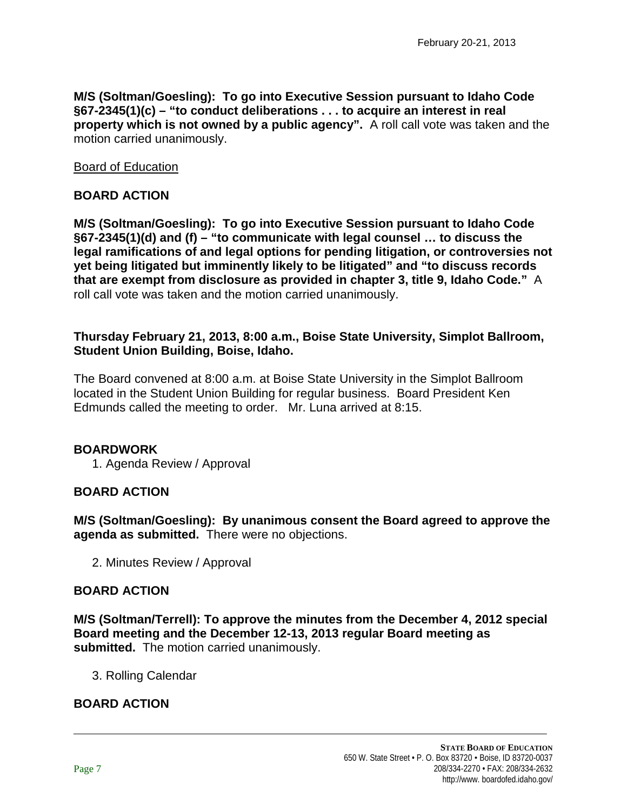**M/S (Soltman/Goesling): To go into Executive Session pursuant to Idaho Code §67-2345(1)(c) – "to conduct deliberations . . . to acquire an interest in real property which is not owned by a public agency".** A roll call vote was taken and the motion carried unanimously.

Board of Education

#### **BOARD ACTION**

**M/S (Soltman/Goesling): To go into Executive Session pursuant to Idaho Code §67-2345(1)(d) and (f) – "to communicate with legal counsel … to discuss the legal ramifications of and legal options for pending litigation, or controversies not yet being litigated but imminently likely to be litigated" and "to discuss records that are exempt from disclosure as provided in chapter 3, title 9, Idaho Code."** A roll call vote was taken and the motion carried unanimously.

#### **Thursday February 21, 2013, 8:00 a.m., Boise State University, Simplot Ballroom, Student Union Building, Boise, Idaho.**

The Board convened at 8:00 a.m. at Boise State University in the Simplot Ballroom located in the Student Union Building for regular business. Board President Ken Edmunds called the meeting to order. Mr. Luna arrived at 8:15.

#### **BOARDWORK**

1. Agenda Review / Approval

# **BOARD ACTION**

**M/S (Soltman/Goesling): By unanimous consent the Board agreed to approve the agenda as submitted.** There were no objections.

2. Minutes Review / Approval

#### **BOARD ACTION**

**M/S (Soltman/Terrell): To approve the minutes from the December 4, 2012 special Board meeting and the December 12-13, 2013 regular Board meeting as submitted.** The motion carried unanimously.

3. Rolling Calendar

# **BOARD ACTION**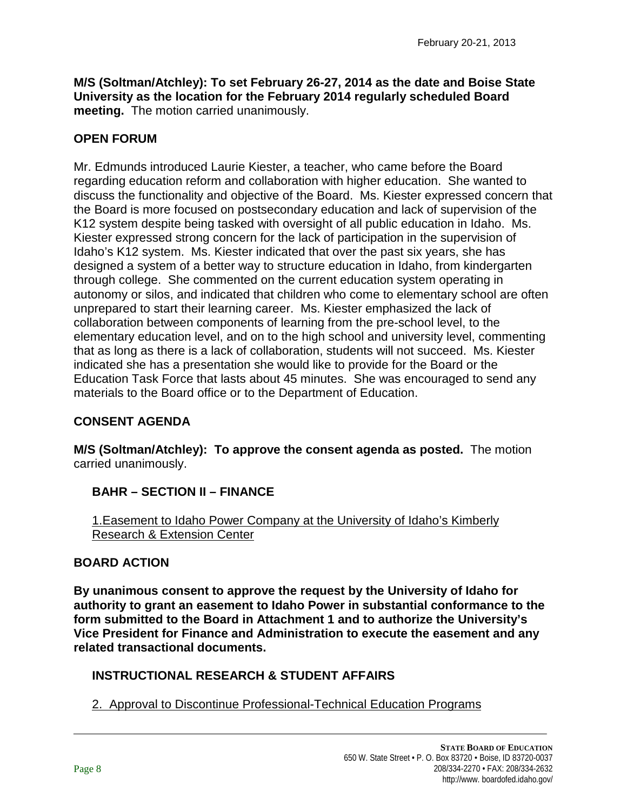**M/S (Soltman/Atchley): To set February 26-27, 2014 as the date and Boise State University as the location for the February 2014 regularly scheduled Board meeting.** The motion carried unanimously.

# **OPEN FORUM**

Mr. Edmunds introduced Laurie Kiester, a teacher, who came before the Board regarding education reform and collaboration with higher education. She wanted to discuss the functionality and objective of the Board. Ms. Kiester expressed concern that the Board is more focused on postsecondary education and lack of supervision of the K12 system despite being tasked with oversight of all public education in Idaho. Ms. Kiester expressed strong concern for the lack of participation in the supervision of Idaho's K12 system. Ms. Kiester indicated that over the past six years, she has designed a system of a better way to structure education in Idaho, from kindergarten through college. She commented on the current education system operating in autonomy or silos, and indicated that children who come to elementary school are often unprepared to start their learning career. Ms. Kiester emphasized the lack of collaboration between components of learning from the pre-school level, to the elementary education level, and on to the high school and university level, commenting that as long as there is a lack of collaboration, students will not succeed. Ms. Kiester indicated she has a presentation she would like to provide for the Board or the Education Task Force that lasts about 45 minutes. She was encouraged to send any materials to the Board office or to the Department of Education.

# **CONSENT AGENDA**

**M/S (Soltman/Atchley): To approve the consent agenda as posted.** The motion carried unanimously.

# **BAHR – SECTION II – FINANCE**

1.Easement to Idaho Power Company at the University of Idaho's Kimberly Research & Extension Center

#### **BOARD ACTION**

**By unanimous consent to approve the request by the University of Idaho for authority to grant an easement to Idaho Power in substantial conformance to the form submitted to the Board in Attachment 1 and to authorize the University's Vice President for Finance and Administration to execute the easement and any related transactional documents.**

# **INSTRUCTIONAL RESEARCH & STUDENT AFFAIRS**

2. Approval to Discontinue Professional-Technical Education Programs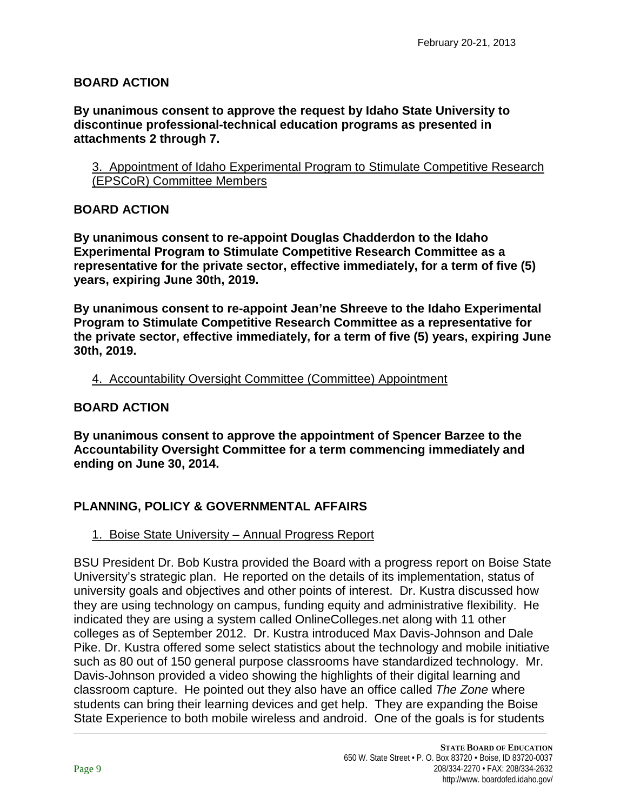### **BOARD ACTION**

**By unanimous consent to approve the request by Idaho State University to discontinue professional-technical education programs as presented in attachments 2 through 7.**

3. Appointment of Idaho Experimental Program to Stimulate Competitive Research (EPSCoR) Committee Members

#### **BOARD ACTION**

**By unanimous consent to re-appoint Douglas Chadderdon to the Idaho Experimental Program to Stimulate Competitive Research Committee as a representative for the private sector, effective immediately, for a term of five (5) years, expiring June 30th, 2019.**

**By unanimous consent to re-appoint Jean'ne Shreeve to the Idaho Experimental Program to Stimulate Competitive Research Committee as a representative for the private sector, effective immediately, for a term of five (5) years, expiring June 30th, 2019.**

#### 4. Accountability Oversight Committee (Committee) Appointment

#### **BOARD ACTION**

**By unanimous consent to approve the appointment of Spencer Barzee to the Accountability Oversight Committee for a term commencing immediately and ending on June 30, 2014.**

# **PLANNING, POLICY & GOVERNMENTAL AFFAIRS**

#### 1. Boise State University – Annual Progress Report

BSU President Dr. Bob Kustra provided the Board with a progress report on Boise State University's strategic plan. He reported on the details of its implementation, status of university goals and objectives and other points of interest. Dr. Kustra discussed how they are using technology on campus, funding equity and administrative flexibility. He indicated they are using a system called OnlineColleges.net along with 11 other colleges as of September 2012. Dr. Kustra introduced Max Davis-Johnson and Dale Pike. Dr. Kustra offered some select statistics about the technology and mobile initiative such as 80 out of 150 general purpose classrooms have standardized technology. Mr. Davis-Johnson provided a video showing the highlights of their digital learning and classroom capture. He pointed out they also have an office called *The Zone* where students can bring their learning devices and get help. They are expanding the Boise State Experience to both mobile wireless and android. One of the goals is for students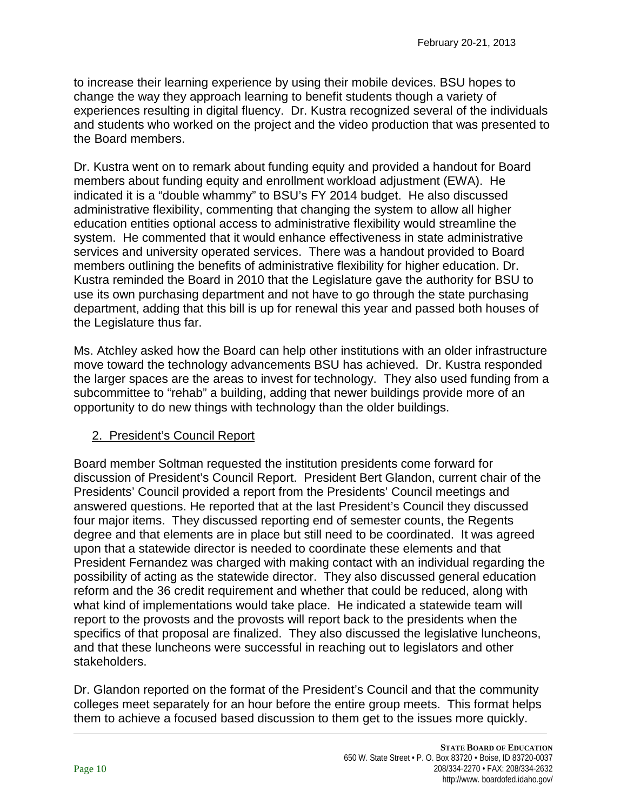to increase their learning experience by using their mobile devices. BSU hopes to change the way they approach learning to benefit students though a variety of experiences resulting in digital fluency. Dr. Kustra recognized several of the individuals and students who worked on the project and the video production that was presented to the Board members.

Dr. Kustra went on to remark about funding equity and provided a handout for Board members about funding equity and enrollment workload adjustment (EWA). He indicated it is a "double whammy" to BSU's FY 2014 budget. He also discussed administrative flexibility, commenting that changing the system to allow all higher education entities optional access to administrative flexibility would streamline the system. He commented that it would enhance effectiveness in state administrative services and university operated services. There was a handout provided to Board members outlining the benefits of administrative flexibility for higher education. Dr. Kustra reminded the Board in 2010 that the Legislature gave the authority for BSU to use its own purchasing department and not have to go through the state purchasing department, adding that this bill is up for renewal this year and passed both houses of the Legislature thus far.

Ms. Atchley asked how the Board can help other institutions with an older infrastructure move toward the technology advancements BSU has achieved. Dr. Kustra responded the larger spaces are the areas to invest for technology. They also used funding from a subcommittee to "rehab" a building, adding that newer buildings provide more of an opportunity to do new things with technology than the older buildings.

# 2. President's Council Report

Board member Soltman requested the institution presidents come forward for discussion of President's Council Report. President Bert Glandon, current chair of the Presidents' Council provided a report from the Presidents' Council meetings and answered questions. He reported that at the last President's Council they discussed four major items. They discussed reporting end of semester counts, the Regents degree and that elements are in place but still need to be coordinated. It was agreed upon that a statewide director is needed to coordinate these elements and that President Fernandez was charged with making contact with an individual regarding the possibility of acting as the statewide director. They also discussed general education reform and the 36 credit requirement and whether that could be reduced, along with what kind of implementations would take place. He indicated a statewide team will report to the provosts and the provosts will report back to the presidents when the specifics of that proposal are finalized. They also discussed the legislative luncheons, and that these luncheons were successful in reaching out to legislators and other stakeholders.

Dr. Glandon reported on the format of the President's Council and that the community colleges meet separately for an hour before the entire group meets. This format helps them to achieve a focused based discussion to them get to the issues more quickly.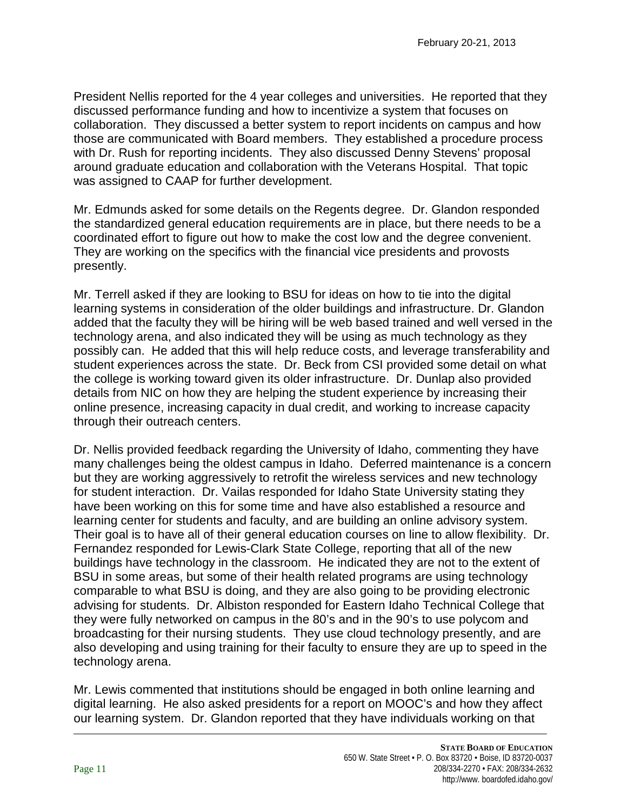President Nellis reported for the 4 year colleges and universities. He reported that they discussed performance funding and how to incentivize a system that focuses on collaboration. They discussed a better system to report incidents on campus and how those are communicated with Board members. They established a procedure process with Dr. Rush for reporting incidents. They also discussed Denny Stevens' proposal around graduate education and collaboration with the Veterans Hospital. That topic was assigned to CAAP for further development.

Mr. Edmunds asked for some details on the Regents degree. Dr. Glandon responded the standardized general education requirements are in place, but there needs to be a coordinated effort to figure out how to make the cost low and the degree convenient. They are working on the specifics with the financial vice presidents and provosts presently.

Mr. Terrell asked if they are looking to BSU for ideas on how to tie into the digital learning systems in consideration of the older buildings and infrastructure. Dr. Glandon added that the faculty they will be hiring will be web based trained and well versed in the technology arena, and also indicated they will be using as much technology as they possibly can. He added that this will help reduce costs, and leverage transferability and student experiences across the state. Dr. Beck from CSI provided some detail on what the college is working toward given its older infrastructure. Dr. Dunlap also provided details from NIC on how they are helping the student experience by increasing their online presence, increasing capacity in dual credit, and working to increase capacity through their outreach centers.

Dr. Nellis provided feedback regarding the University of Idaho, commenting they have many challenges being the oldest campus in Idaho. Deferred maintenance is a concern but they are working aggressively to retrofit the wireless services and new technology for student interaction. Dr. Vailas responded for Idaho State University stating they have been working on this for some time and have also established a resource and learning center for students and faculty, and are building an online advisory system. Their goal is to have all of their general education courses on line to allow flexibility. Dr. Fernandez responded for Lewis-Clark State College, reporting that all of the new buildings have technology in the classroom. He indicated they are not to the extent of BSU in some areas, but some of their health related programs are using technology comparable to what BSU is doing, and they are also going to be providing electronic advising for students. Dr. Albiston responded for Eastern Idaho Technical College that they were fully networked on campus in the 80's and in the 90's to use polycom and broadcasting for their nursing students. They use cloud technology presently, and are also developing and using training for their faculty to ensure they are up to speed in the technology arena.

Mr. Lewis commented that institutions should be engaged in both online learning and digital learning. He also asked presidents for a report on MOOC's and how they affect our learning system. Dr. Glandon reported that they have individuals working on that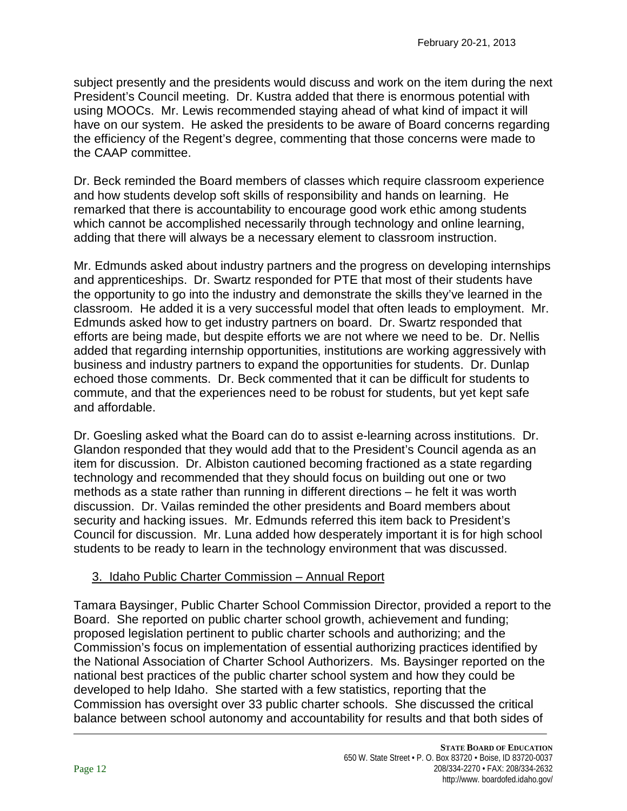subject presently and the presidents would discuss and work on the item during the next President's Council meeting. Dr. Kustra added that there is enormous potential with using MOOCs. Mr. Lewis recommended staying ahead of what kind of impact it will have on our system. He asked the presidents to be aware of Board concerns regarding the efficiency of the Regent's degree, commenting that those concerns were made to the CAAP committee.

Dr. Beck reminded the Board members of classes which require classroom experience and how students develop soft skills of responsibility and hands on learning. He remarked that there is accountability to encourage good work ethic among students which cannot be accomplished necessarily through technology and online learning, adding that there will always be a necessary element to classroom instruction.

Mr. Edmunds asked about industry partners and the progress on developing internships and apprenticeships. Dr. Swartz responded for PTE that most of their students have the opportunity to go into the industry and demonstrate the skills they've learned in the classroom. He added it is a very successful model that often leads to employment. Mr. Edmunds asked how to get industry partners on board. Dr. Swartz responded that efforts are being made, but despite efforts we are not where we need to be. Dr. Nellis added that regarding internship opportunities, institutions are working aggressively with business and industry partners to expand the opportunities for students. Dr. Dunlap echoed those comments. Dr. Beck commented that it can be difficult for students to commute, and that the experiences need to be robust for students, but yet kept safe and affordable.

Dr. Goesling asked what the Board can do to assist e-learning across institutions. Dr. Glandon responded that they would add that to the President's Council agenda as an item for discussion. Dr. Albiston cautioned becoming fractioned as a state regarding technology and recommended that they should focus on building out one or two methods as a state rather than running in different directions – he felt it was worth discussion. Dr. Vailas reminded the other presidents and Board members about security and hacking issues. Mr. Edmunds referred this item back to President's Council for discussion. Mr. Luna added how desperately important it is for high school students to be ready to learn in the technology environment that was discussed.

# 3. Idaho Public Charter Commission – Annual Report

Tamara Baysinger, Public Charter School Commission Director, provided a report to the Board. She reported on public charter school growth, achievement and funding; proposed legislation pertinent to public charter schools and authorizing; and the Commission's focus on implementation of essential authorizing practices identified by the National Association of Charter School Authorizers. Ms. Baysinger reported on the national best practices of the public charter school system and how they could be developed to help Idaho. She started with a few statistics, reporting that the Commission has oversight over 33 public charter schools. She discussed the critical balance between school autonomy and accountability for results and that both sides of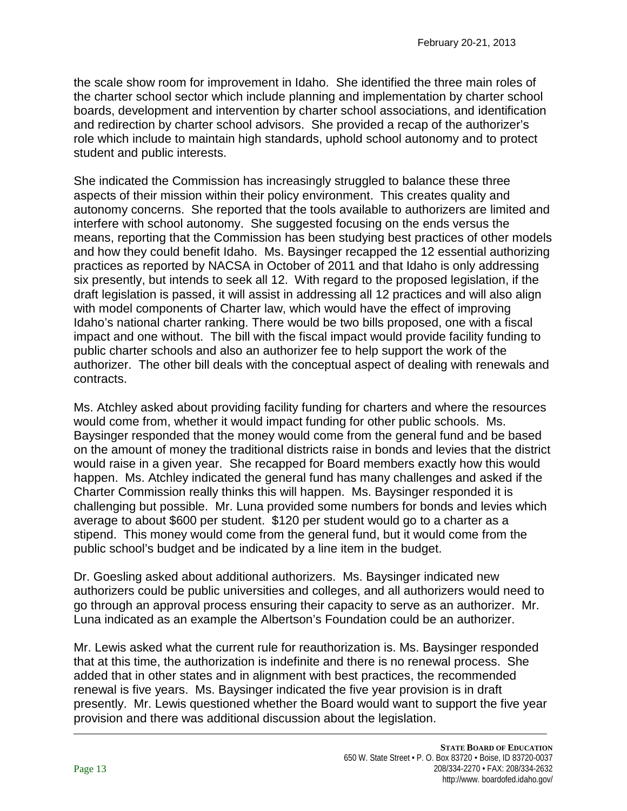the scale show room for improvement in Idaho. She identified the three main roles of the charter school sector which include planning and implementation by charter school boards, development and intervention by charter school associations, and identification and redirection by charter school advisors. She provided a recap of the authorizer's role which include to maintain high standards, uphold school autonomy and to protect student and public interests.

She indicated the Commission has increasingly struggled to balance these three aspects of their mission within their policy environment. This creates quality and autonomy concerns. She reported that the tools available to authorizers are limited and interfere with school autonomy. She suggested focusing on the ends versus the means, reporting that the Commission has been studying best practices of other models and how they could benefit Idaho. Ms. Baysinger recapped the 12 essential authorizing practices as reported by NACSA in October of 2011 and that Idaho is only addressing six presently, but intends to seek all 12. With regard to the proposed legislation, if the draft legislation is passed, it will assist in addressing all 12 practices and will also align with model components of Charter law, which would have the effect of improving Idaho's national charter ranking. There would be two bills proposed, one with a fiscal impact and one without. The bill with the fiscal impact would provide facility funding to public charter schools and also an authorizer fee to help support the work of the authorizer. The other bill deals with the conceptual aspect of dealing with renewals and contracts.

Ms. Atchley asked about providing facility funding for charters and where the resources would come from, whether it would impact funding for other public schools. Ms. Baysinger responded that the money would come from the general fund and be based on the amount of money the traditional districts raise in bonds and levies that the district would raise in a given year. She recapped for Board members exactly how this would happen. Ms. Atchley indicated the general fund has many challenges and asked if the Charter Commission really thinks this will happen. Ms. Baysinger responded it is challenging but possible. Mr. Luna provided some numbers for bonds and levies which average to about \$600 per student. \$120 per student would go to a charter as a stipend. This money would come from the general fund, but it would come from the public school's budget and be indicated by a line item in the budget.

Dr. Goesling asked about additional authorizers. Ms. Baysinger indicated new authorizers could be public universities and colleges, and all authorizers would need to go through an approval process ensuring their capacity to serve as an authorizer. Mr. Luna indicated as an example the Albertson's Foundation could be an authorizer.

Mr. Lewis asked what the current rule for reauthorization is. Ms. Baysinger responded that at this time, the authorization is indefinite and there is no renewal process. She added that in other states and in alignment with best practices, the recommended renewal is five years. Ms. Baysinger indicated the five year provision is in draft presently. Mr. Lewis questioned whether the Board would want to support the five year provision and there was additional discussion about the legislation.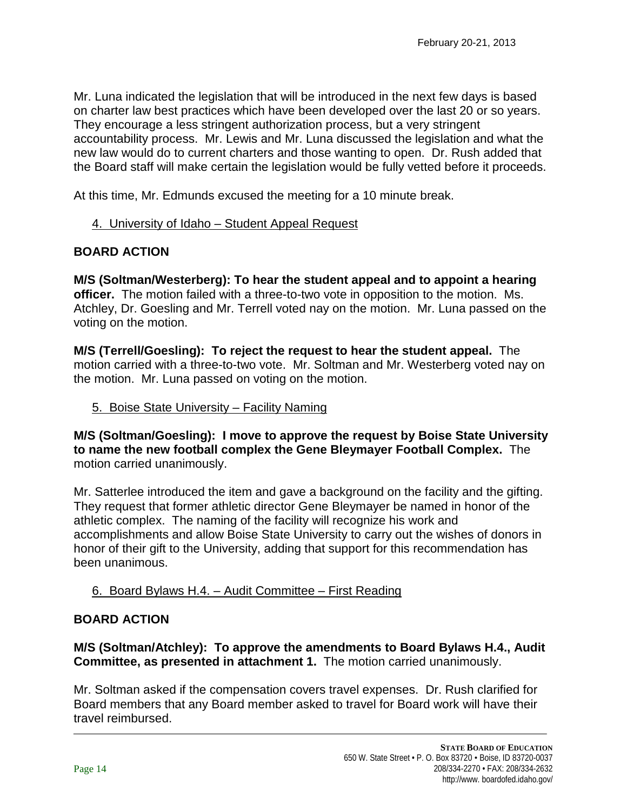Mr. Luna indicated the legislation that will be introduced in the next few days is based on charter law best practices which have been developed over the last 20 or so years. They encourage a less stringent authorization process, but a very stringent accountability process. Mr. Lewis and Mr. Luna discussed the legislation and what the new law would do to current charters and those wanting to open. Dr. Rush added that the Board staff will make certain the legislation would be fully vetted before it proceeds.

At this time, Mr. Edmunds excused the meeting for a 10 minute break.

### 4. University of Idaho – Student Appeal Request

### **BOARD ACTION**

**M/S (Soltman/Westerberg): To hear the student appeal and to appoint a hearing officer.** The motion failed with a three-to-two vote in opposition to the motion. Ms. Atchley, Dr. Goesling and Mr. Terrell voted nay on the motion. Mr. Luna passed on the voting on the motion.

**M/S (Terrell/Goesling): To reject the request to hear the student appeal.** The motion carried with a three-to-two vote. Mr. Soltman and Mr. Westerberg voted nay on the motion. Mr. Luna passed on voting on the motion.

#### 5. Boise State University – Facility Naming

**M/S (Soltman/Goesling): I move to approve the request by Boise State University to name the new football complex the Gene Bleymayer Football Complex.** The motion carried unanimously.

Mr. Satterlee introduced the item and gave a background on the facility and the gifting. They request that former athletic director Gene Bleymayer be named in honor of the athletic complex. The naming of the facility will recognize his work and accomplishments and allow Boise State University to carry out the wishes of donors in honor of their gift to the University, adding that support for this recommendation has been unanimous.

# 6. Board Bylaws H.4. – Audit Committee – First Reading

#### **BOARD ACTION**

**M/S (Soltman/Atchley): To approve the amendments to Board Bylaws H.4., Audit Committee, as presented in attachment 1.** The motion carried unanimously.

Mr. Soltman asked if the compensation covers travel expenses. Dr. Rush clarified for Board members that any Board member asked to travel for Board work will have their travel reimbursed.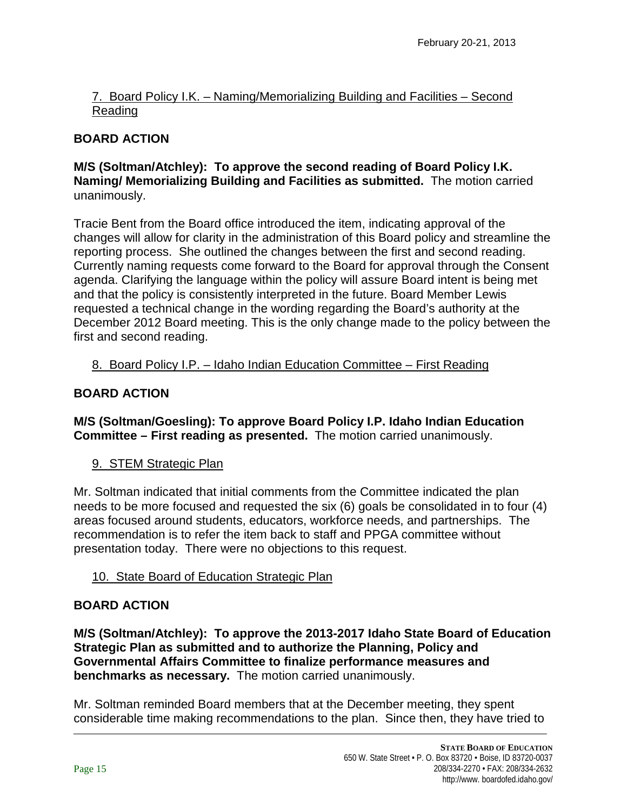### 7. Board Policy I.K. – Naming/Memorializing Building and Facilities – Second Reading

# **BOARD ACTION**

#### **M/S (Soltman/Atchley): To approve the second reading of Board Policy I.K. Naming/ Memorializing Building and Facilities as submitted.** The motion carried unanimously.

Tracie Bent from the Board office introduced the item, indicating approval of the changes will allow for clarity in the administration of this Board policy and streamline the reporting process. She outlined the changes between the first and second reading. Currently naming requests come forward to the Board for approval through the Consent agenda. Clarifying the language within the policy will assure Board intent is being met and that the policy is consistently interpreted in the future. Board Member Lewis requested a technical change in the wording regarding the Board's authority at the December 2012 Board meeting. This is the only change made to the policy between the first and second reading.

### 8. Board Policy I.P. – Idaho Indian Education Committee – First Reading

# **BOARD ACTION**

# **M/S (Soltman/Goesling): To approve Board Policy I.P. Idaho Indian Education Committee – First reading as presented.** The motion carried unanimously.

# 9. STEM Strategic Plan

Mr. Soltman indicated that initial comments from the Committee indicated the plan needs to be more focused and requested the six (6) goals be consolidated in to four (4) areas focused around students, educators, workforce needs, and partnerships. The recommendation is to refer the item back to staff and PPGA committee without presentation today. There were no objections to this request.

# 10. State Board of Education Strategic Plan

#### **BOARD ACTION**

**M/S (Soltman/Atchley): To approve the 2013-2017 Idaho State Board of Education Strategic Plan as submitted and to authorize the Planning, Policy and Governmental Affairs Committee to finalize performance measures and benchmarks as necessary.** The motion carried unanimously.

Mr. Soltman reminded Board members that at the December meeting, they spent considerable time making recommendations to the plan. Since then, they have tried to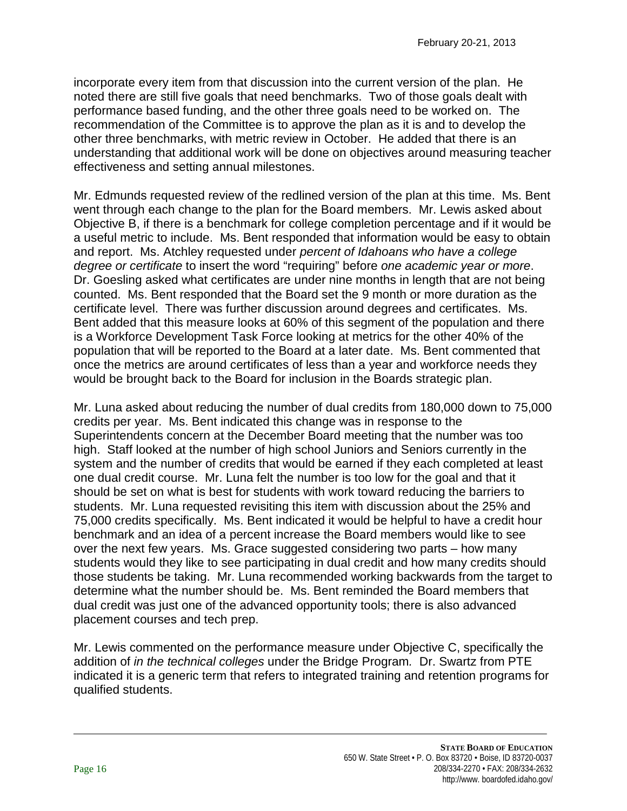incorporate every item from that discussion into the current version of the plan. He noted there are still five goals that need benchmarks. Two of those goals dealt with performance based funding, and the other three goals need to be worked on. The recommendation of the Committee is to approve the plan as it is and to develop the other three benchmarks, with metric review in October. He added that there is an understanding that additional work will be done on objectives around measuring teacher effectiveness and setting annual milestones.

Mr. Edmunds requested review of the redlined version of the plan at this time. Ms. Bent went through each change to the plan for the Board members. Mr. Lewis asked about Objective B, if there is a benchmark for college completion percentage and if it would be a useful metric to include. Ms. Bent responded that information would be easy to obtain and report. Ms. Atchley requested under *percent of Idahoans who have a college degree or certificate* to insert the word "requiring" before *one academic year or more*. Dr. Goesling asked what certificates are under nine months in length that are not being counted. Ms. Bent responded that the Board set the 9 month or more duration as the certificate level. There was further discussion around degrees and certificates. Ms. Bent added that this measure looks at 60% of this segment of the population and there is a Workforce Development Task Force looking at metrics for the other 40% of the population that will be reported to the Board at a later date. Ms. Bent commented that once the metrics are around certificates of less than a year and workforce needs they would be brought back to the Board for inclusion in the Boards strategic plan.

Mr. Luna asked about reducing the number of dual credits from 180,000 down to 75,000 credits per year. Ms. Bent indicated this change was in response to the Superintendents concern at the December Board meeting that the number was too high. Staff looked at the number of high school Juniors and Seniors currently in the system and the number of credits that would be earned if they each completed at least one dual credit course. Mr. Luna felt the number is too low for the goal and that it should be set on what is best for students with work toward reducing the barriers to students. Mr. Luna requested revisiting this item with discussion about the 25% and 75,000 credits specifically. Ms. Bent indicated it would be helpful to have a credit hour benchmark and an idea of a percent increase the Board members would like to see over the next few years. Ms. Grace suggested considering two parts – how many students would they like to see participating in dual credit and how many credits should those students be taking. Mr. Luna recommended working backwards from the target to determine what the number should be. Ms. Bent reminded the Board members that dual credit was just one of the advanced opportunity tools; there is also advanced placement courses and tech prep.

Mr. Lewis commented on the performance measure under Objective C, specifically the addition of *in the technical colleges* under the Bridge Program*.* Dr. Swartz from PTE indicated it is a generic term that refers to integrated training and retention programs for qualified students.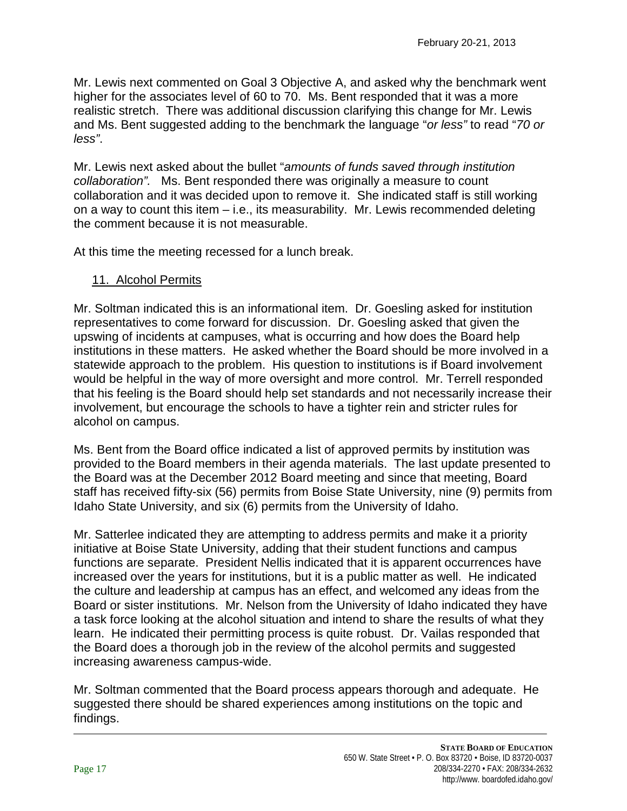Mr. Lewis next commented on Goal 3 Objective A, and asked why the benchmark went higher for the associates level of 60 to 70. Ms. Bent responded that it was a more realistic stretch. There was additional discussion clarifying this change for Mr. Lewis and Ms. Bent suggested adding to the benchmark the language "*or less"* to read "*70 or less"*.

Mr. Lewis next asked about the bullet "*amounts of funds saved through institution collaboration".* Ms. Bent responded there was originally a measure to count collaboration and it was decided upon to remove it. She indicated staff is still working on a way to count this item – i.e., its measurability. Mr. Lewis recommended deleting the comment because it is not measurable.

At this time the meeting recessed for a lunch break.

#### 11. Alcohol Permits

Mr. Soltman indicated this is an informational item. Dr. Goesling asked for institution representatives to come forward for discussion. Dr. Goesling asked that given the upswing of incidents at campuses, what is occurring and how does the Board help institutions in these matters. He asked whether the Board should be more involved in a statewide approach to the problem. His question to institutions is if Board involvement would be helpful in the way of more oversight and more control. Mr. Terrell responded that his feeling is the Board should help set standards and not necessarily increase their involvement, but encourage the schools to have a tighter rein and stricter rules for alcohol on campus.

Ms. Bent from the Board office indicated a list of approved permits by institution was provided to the Board members in their agenda materials. The last update presented to the Board was at the December 2012 Board meeting and since that meeting, Board staff has received fifty-six (56) permits from Boise State University, nine (9) permits from Idaho State University, and six (6) permits from the University of Idaho.

Mr. Satterlee indicated they are attempting to address permits and make it a priority initiative at Boise State University, adding that their student functions and campus functions are separate. President Nellis indicated that it is apparent occurrences have increased over the years for institutions, but it is a public matter as well. He indicated the culture and leadership at campus has an effect, and welcomed any ideas from the Board or sister institutions. Mr. Nelson from the University of Idaho indicated they have a task force looking at the alcohol situation and intend to share the results of what they learn. He indicated their permitting process is quite robust. Dr. Vailas responded that the Board does a thorough job in the review of the alcohol permits and suggested increasing awareness campus-wide.

Mr. Soltman commented that the Board process appears thorough and adequate. He suggested there should be shared experiences among institutions on the topic and findings.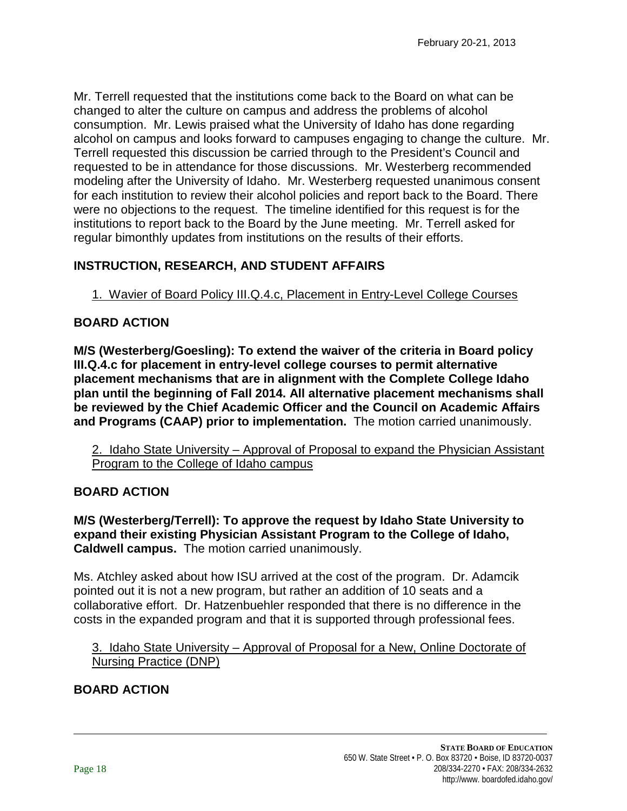Mr. Terrell requested that the institutions come back to the Board on what can be changed to alter the culture on campus and address the problems of alcohol consumption. Mr. Lewis praised what the University of Idaho has done regarding alcohol on campus and looks forward to campuses engaging to change the culture. Mr. Terrell requested this discussion be carried through to the President's Council and requested to be in attendance for those discussions. Mr. Westerberg recommended modeling after the University of Idaho. Mr. Westerberg requested unanimous consent for each institution to review their alcohol policies and report back to the Board. There were no objections to the request. The timeline identified for this request is for the institutions to report back to the Board by the June meeting. Mr. Terrell asked for regular bimonthly updates from institutions on the results of their efforts.

# **INSTRUCTION, RESEARCH, AND STUDENT AFFAIRS**

1. Wavier of Board Policy III.Q.4.c, Placement in Entry-Level College Courses

### **BOARD ACTION**

**M/S (Westerberg/Goesling): To extend the waiver of the criteria in Board policy III.Q.4.c for placement in entry-level college courses to permit alternative placement mechanisms that are in alignment with the Complete College Idaho plan until the beginning of Fall 2014. All alternative placement mechanisms shall be reviewed by the Chief Academic Officer and the Council on Academic Affairs and Programs (CAAP) prior to implementation.** The motion carried unanimously.

2. Idaho State University – Approval of Proposal to expand the Physician Assistant Program to the College of Idaho campus

# **BOARD ACTION**

**M/S (Westerberg/Terrell): To approve the request by Idaho State University to expand their existing Physician Assistant Program to the College of Idaho, Caldwell campus.** The motion carried unanimously.

Ms. Atchley asked about how ISU arrived at the cost of the program. Dr. Adamcik pointed out it is not a new program, but rather an addition of 10 seats and a collaborative effort. Dr. Hatzenbuehler responded that there is no difference in the costs in the expanded program and that it is supported through professional fees.

3. Idaho State University – Approval of Proposal for a New, Online Doctorate of Nursing Practice (DNP)

# **BOARD ACTION**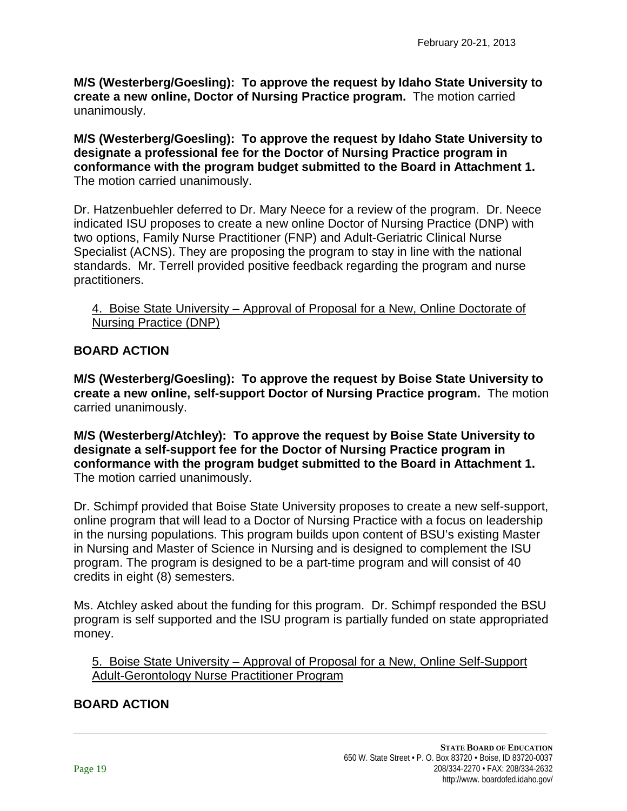**M/S (Westerberg/Goesling): To approve the request by Idaho State University to create a new online, Doctor of Nursing Practice program.** The motion carried unanimously.

**M/S (Westerberg/Goesling): To approve the request by Idaho State University to designate a professional fee for the Doctor of Nursing Practice program in conformance with the program budget submitted to the Board in Attachment 1.** The motion carried unanimously.

Dr. Hatzenbuehler deferred to Dr. Mary Neece for a review of the program. Dr. Neece indicated ISU proposes to create a new online Doctor of Nursing Practice (DNP) with two options, Family Nurse Practitioner (FNP) and Adult-Geriatric Clinical Nurse Specialist (ACNS). They are proposing the program to stay in line with the national standards. Mr. Terrell provided positive feedback regarding the program and nurse practitioners.

4. Boise State University – Approval of Proposal for a New, Online Doctorate of Nursing Practice (DNP)

# **BOARD ACTION**

**M/S (Westerberg/Goesling): To approve the request by Boise State University to create a new online, self-support Doctor of Nursing Practice program.** The motion carried unanimously.

**M/S (Westerberg/Atchley): To approve the request by Boise State University to designate a self-support fee for the Doctor of Nursing Practice program in conformance with the program budget submitted to the Board in Attachment 1.**  The motion carried unanimously.

Dr. Schimpf provided that Boise State University proposes to create a new self-support, online program that will lead to a Doctor of Nursing Practice with a focus on leadership in the nursing populations. This program builds upon content of BSU's existing Master in Nursing and Master of Science in Nursing and is designed to complement the ISU program. The program is designed to be a part-time program and will consist of 40 credits in eight (8) semesters.

Ms. Atchley asked about the funding for this program. Dr. Schimpf responded the BSU program is self supported and the ISU program is partially funded on state appropriated money.

5. Boise State University – Approval of Proposal for a New, Online Self-Support Adult-Gerontology Nurse Practitioner Program

# **BOARD ACTION**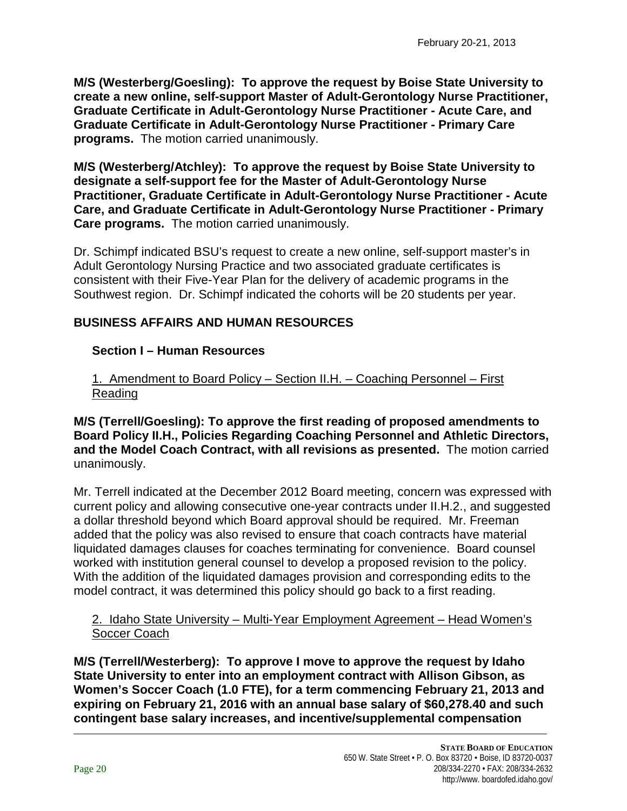**M/S (Westerberg/Goesling): To approve the request by Boise State University to create a new online, self-support Master of Adult-Gerontology Nurse Practitioner, Graduate Certificate in Adult-Gerontology Nurse Practitioner - Acute Care, and Graduate Certificate in Adult-Gerontology Nurse Practitioner - Primary Care programs.** The motion carried unanimously.

**M/S (Westerberg/Atchley): To approve the request by Boise State University to designate a self-support fee for the Master of Adult-Gerontology Nurse Practitioner, Graduate Certificate in Adult-Gerontology Nurse Practitioner - Acute Care, and Graduate Certificate in Adult-Gerontology Nurse Practitioner - Primary Care programs.** The motion carried unanimously.

Dr. Schimpf indicated BSU's request to create a new online, self-support master's in Adult Gerontology Nursing Practice and two associated graduate certificates is consistent with their Five-Year Plan for the delivery of academic programs in the Southwest region. Dr. Schimpf indicated the cohorts will be 20 students per year.

#### **BUSINESS AFFAIRS AND HUMAN RESOURCES**

#### **Section I – Human Resources**

1. Amendment to Board Policy – Section II.H. – Coaching Personnel – First Reading

**M/S (Terrell/Goesling): To approve the first reading of proposed amendments to Board Policy II.H., Policies Regarding Coaching Personnel and Athletic Directors, and the Model Coach Contract, with all revisions as presented.** The motion carried unanimously.

Mr. Terrell indicated at the December 2012 Board meeting, concern was expressed with current policy and allowing consecutive one-year contracts under II.H.2., and suggested a dollar threshold beyond which Board approval should be required. Mr. Freeman added that the policy was also revised to ensure that coach contracts have material liquidated damages clauses for coaches terminating for convenience. Board counsel worked with institution general counsel to develop a proposed revision to the policy. With the addition of the liquidated damages provision and corresponding edits to the model contract, it was determined this policy should go back to a first reading.

#### 2. Idaho State University – Multi-Year Employment Agreement – Head Women's Soccer Coach

**M/S (Terrell/Westerberg): To approve I move to approve the request by Idaho State University to enter into an employment contract with Allison Gibson, as Women's Soccer Coach (1.0 FTE), for a term commencing February 21, 2013 and expiring on February 21, 2016 with an annual base salary of \$60,278.40 and such contingent base salary increases, and incentive/supplemental compensation**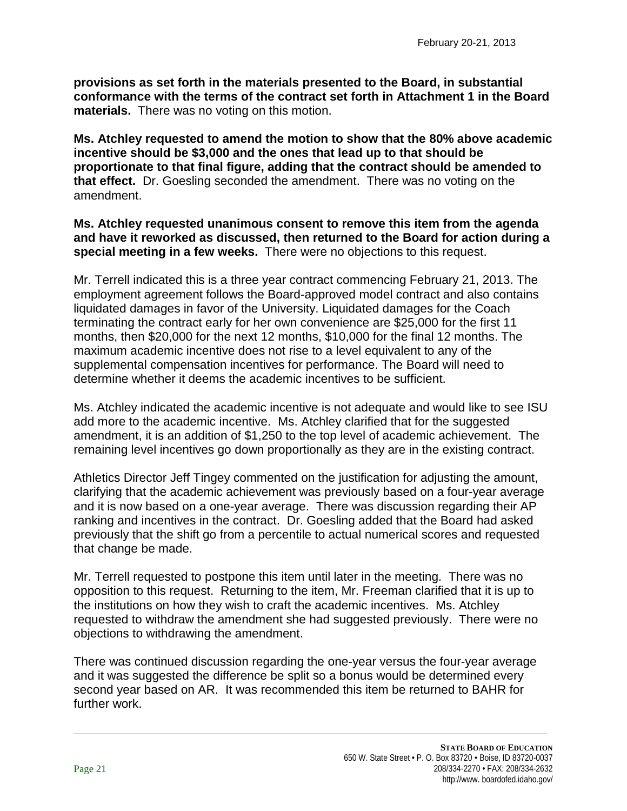**provisions as set forth in the materials presented to the Board, in substantial conformance with the terms of the contract set forth in Attachment 1 in the Board materials.** There was no voting on this motion.

**Ms. Atchley requested to amend the motion to show that the 80% above academic incentive should be \$3,000 and the ones that lead up to that should be proportionate to that final figure, adding that the contract should be amended to that effect.** Dr. Goesling seconded the amendment. There was no voting on the amendment.

**Ms. Atchley requested unanimous consent to remove this item from the agenda and have it reworked as discussed, then returned to the Board for action during a special meeting in a few weeks.** There were no objections to this request.

Mr. Terrell indicated this is a three year contract commencing February 21, 2013. The employment agreement follows the Board-approved model contract and also contains liquidated damages in favor of the University. Liquidated damages for the Coach terminating the contract early for her own convenience are \$25,000 for the first 11 months, then \$20,000 for the next 12 months, \$10,000 for the final 12 months. The maximum academic incentive does not rise to a level equivalent to any of the supplemental compensation incentives for performance. The Board will need to determine whether it deems the academic incentives to be sufficient.

Ms. Atchley indicated the academic incentive is not adequate and would like to see ISU add more to the academic incentive. Ms. Atchley clarified that for the suggested amendment, it is an addition of \$1,250 to the top level of academic achievement. The remaining level incentives go down proportionally as they are in the existing contract.

Athletics Director Jeff Tingey commented on the justification for adjusting the amount, clarifying that the academic achievement was previously based on a four-year average and it is now based on a one-year average. There was discussion regarding their AP ranking and incentives in the contract. Dr. Goesling added that the Board had asked previously that the shift go from a percentile to actual numerical scores and requested that change be made.

Mr. Terrell requested to postpone this item until later in the meeting. There was no opposition to this request. Returning to the item, Mr. Freeman clarified that it is up to the institutions on how they wish to craft the academic incentives. Ms. Atchley requested to withdraw the amendment she had suggested previously. There were no objections to withdrawing the amendment.

There was continued discussion regarding the one-year versus the four-year average and it was suggested the difference be split so a bonus would be determined every second year based on AR. It was recommended this item be returned to BAHR for further work.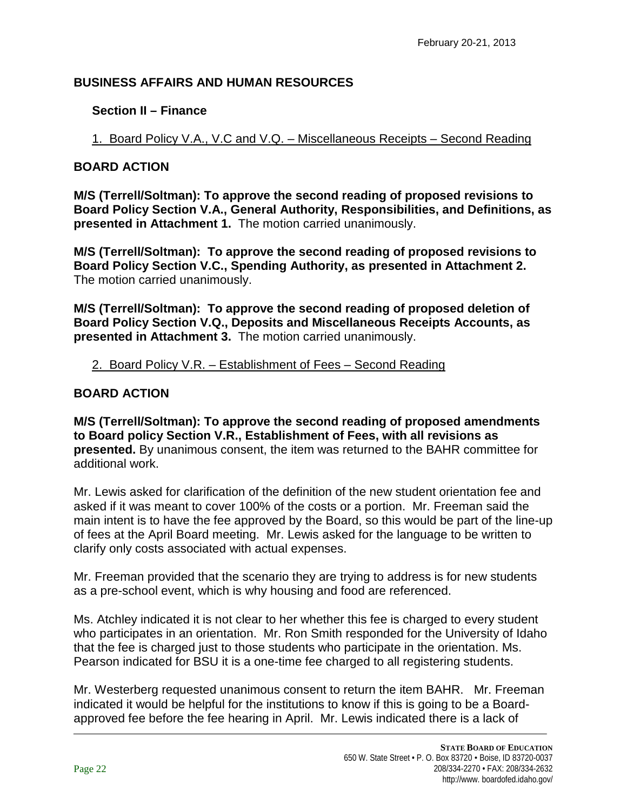# **BUSINESS AFFAIRS AND HUMAN RESOURCES**

# **Section II – Finance**

1. Board Policy V.A., V.C and V.Q. – Miscellaneous Receipts – Second Reading

# **BOARD ACTION**

**M/S (Terrell/Soltman): To approve the second reading of proposed revisions to Board Policy Section V.A., General Authority, Responsibilities, and Definitions, as presented in Attachment 1.** The motion carried unanimously.

**M/S (Terrell/Soltman): To approve the second reading of proposed revisions to Board Policy Section V.C., Spending Authority, as presented in Attachment 2.**  The motion carried unanimously.

**M/S (Terrell/Soltman): To approve the second reading of proposed deletion of Board Policy Section V.Q., Deposits and Miscellaneous Receipts Accounts, as presented in Attachment 3.** The motion carried unanimously.

# 2. Board Policy V.R. – Establishment of Fees – Second Reading

# **BOARD ACTION**

**M/S (Terrell/Soltman): To approve the second reading of proposed amendments to Board policy Section V.R., Establishment of Fees, with all revisions as presented.** By unanimous consent, the item was returned to the BAHR committee for additional work.

Mr. Lewis asked for clarification of the definition of the new student orientation fee and asked if it was meant to cover 100% of the costs or a portion. Mr. Freeman said the main intent is to have the fee approved by the Board, so this would be part of the line-up of fees at the April Board meeting. Mr. Lewis asked for the language to be written to clarify only costs associated with actual expenses.

Mr. Freeman provided that the scenario they are trying to address is for new students as a pre-school event, which is why housing and food are referenced.

Ms. Atchley indicated it is not clear to her whether this fee is charged to every student who participates in an orientation. Mr. Ron Smith responded for the University of Idaho that the fee is charged just to those students who participate in the orientation. Ms. Pearson indicated for BSU it is a one-time fee charged to all registering students.

Mr. Westerberg requested unanimous consent to return the item BAHR. Mr. Freeman indicated it would be helpful for the institutions to know if this is going to be a Boardapproved fee before the fee hearing in April. Mr. Lewis indicated there is a lack of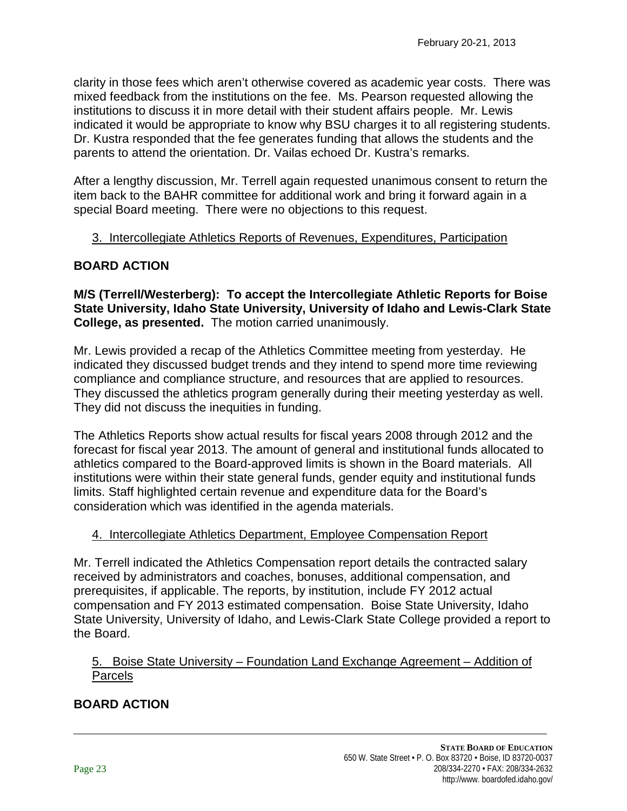clarity in those fees which aren't otherwise covered as academic year costs. There was mixed feedback from the institutions on the fee. Ms. Pearson requested allowing the institutions to discuss it in more detail with their student affairs people. Mr. Lewis indicated it would be appropriate to know why BSU charges it to all registering students. Dr. Kustra responded that the fee generates funding that allows the students and the parents to attend the orientation. Dr. Vailas echoed Dr. Kustra's remarks.

After a lengthy discussion, Mr. Terrell again requested unanimous consent to return the item back to the BAHR committee for additional work and bring it forward again in a special Board meeting. There were no objections to this request.

#### 3. Intercollegiate Athletics Reports of Revenues, Expenditures, Participation

# **BOARD ACTION**

**M/S (Terrell/Westerberg): To accept the Intercollegiate Athletic Reports for Boise State University, Idaho State University, University of Idaho and Lewis-Clark State College, as presented.** The motion carried unanimously.

Mr. Lewis provided a recap of the Athletics Committee meeting from yesterday. He indicated they discussed budget trends and they intend to spend more time reviewing compliance and compliance structure, and resources that are applied to resources. They discussed the athletics program generally during their meeting yesterday as well. They did not discuss the inequities in funding.

The Athletics Reports show actual results for fiscal years 2008 through 2012 and the forecast for fiscal year 2013. The amount of general and institutional funds allocated to athletics compared to the Board-approved limits is shown in the Board materials. All institutions were within their state general funds, gender equity and institutional funds limits. Staff highlighted certain revenue and expenditure data for the Board's consideration which was identified in the agenda materials.

# 4. Intercollegiate Athletics Department, Employee Compensation Report

Mr. Terrell indicated the Athletics Compensation report details the contracted salary received by administrators and coaches, bonuses, additional compensation, and prerequisites, if applicable. The reports, by institution, include FY 2012 actual compensation and FY 2013 estimated compensation. Boise State University, Idaho State University, University of Idaho, and Lewis-Clark State College provided a report to the Board.

5. Boise State University – Foundation Land Exchange Agreement – Addition of Parcels

# **BOARD ACTION**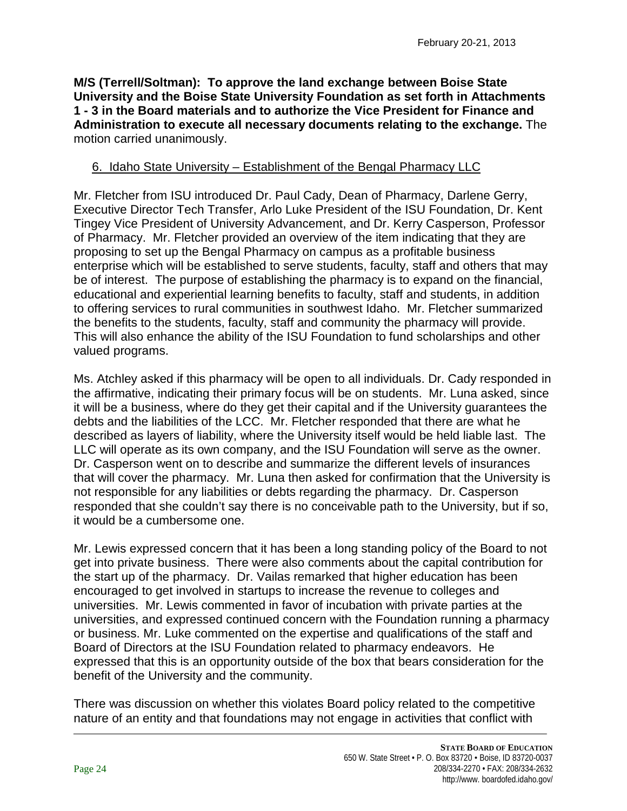**M/S (Terrell/Soltman): To approve the land exchange between Boise State University and the Boise State University Foundation as set forth in Attachments 1 - 3 in the Board materials and to authorize the Vice President for Finance and Administration to execute all necessary documents relating to the exchange.** The motion carried unanimously.

# 6. Idaho State University – Establishment of the Bengal Pharmacy LLC

Mr. Fletcher from ISU introduced Dr. Paul Cady, Dean of Pharmacy, Darlene Gerry, Executive Director Tech Transfer, Arlo Luke President of the ISU Foundation, Dr. Kent Tingey Vice President of University Advancement, and Dr. Kerry Casperson, Professor of Pharmacy. Mr. Fletcher provided an overview of the item indicating that they are proposing to set up the Bengal Pharmacy on campus as a profitable business enterprise which will be established to serve students, faculty, staff and others that may be of interest. The purpose of establishing the pharmacy is to expand on the financial, educational and experiential learning benefits to faculty, staff and students, in addition to offering services to rural communities in southwest Idaho. Mr. Fletcher summarized the benefits to the students, faculty, staff and community the pharmacy will provide. This will also enhance the ability of the ISU Foundation to fund scholarships and other valued programs.

Ms. Atchley asked if this pharmacy will be open to all individuals. Dr. Cady responded in the affirmative, indicating their primary focus will be on students. Mr. Luna asked, since it will be a business, where do they get their capital and if the University guarantees the debts and the liabilities of the LCC. Mr. Fletcher responded that there are what he described as layers of liability, where the University itself would be held liable last. The LLC will operate as its own company, and the ISU Foundation will serve as the owner. Dr. Casperson went on to describe and summarize the different levels of insurances that will cover the pharmacy. Mr. Luna then asked for confirmation that the University is not responsible for any liabilities or debts regarding the pharmacy. Dr. Casperson responded that she couldn't say there is no conceivable path to the University, but if so, it would be a cumbersome one.

Mr. Lewis expressed concern that it has been a long standing policy of the Board to not get into private business. There were also comments about the capital contribution for the start up of the pharmacy. Dr. Vailas remarked that higher education has been encouraged to get involved in startups to increase the revenue to colleges and universities. Mr. Lewis commented in favor of incubation with private parties at the universities, and expressed continued concern with the Foundation running a pharmacy or business. Mr. Luke commented on the expertise and qualifications of the staff and Board of Directors at the ISU Foundation related to pharmacy endeavors. He expressed that this is an opportunity outside of the box that bears consideration for the benefit of the University and the community.

There was discussion on whether this violates Board policy related to the competitive nature of an entity and that foundations may not engage in activities that conflict with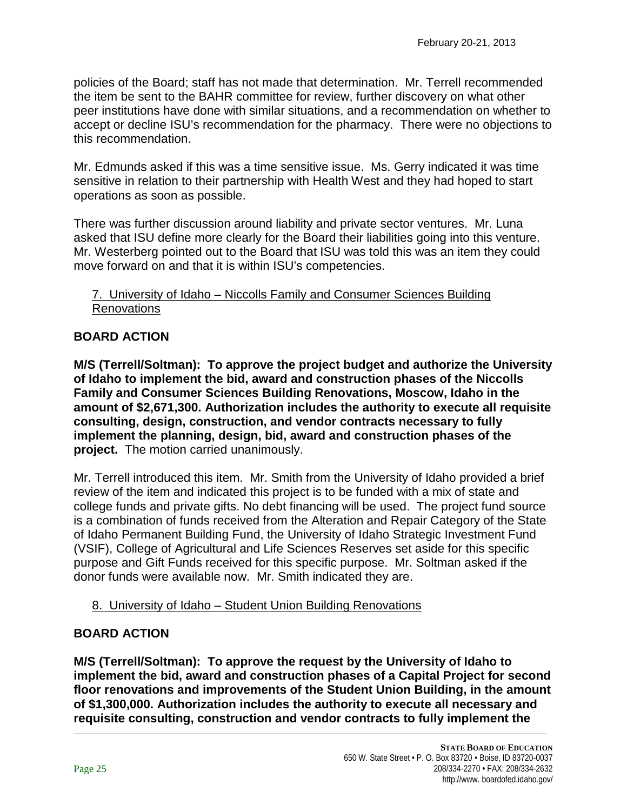policies of the Board; staff has not made that determination. Mr. Terrell recommended the item be sent to the BAHR committee for review, further discovery on what other peer institutions have done with similar situations, and a recommendation on whether to accept or decline ISU's recommendation for the pharmacy. There were no objections to this recommendation.

Mr. Edmunds asked if this was a time sensitive issue. Ms. Gerry indicated it was time sensitive in relation to their partnership with Health West and they had hoped to start operations as soon as possible.

There was further discussion around liability and private sector ventures. Mr. Luna asked that ISU define more clearly for the Board their liabilities going into this venture. Mr. Westerberg pointed out to the Board that ISU was told this was an item they could move forward on and that it is within ISU's competencies.

#### 7. University of Idaho – Niccolls Family and Consumer Sciences Building Renovations

# **BOARD ACTION**

**M/S (Terrell/Soltman): To approve the project budget and authorize the University of Idaho to implement the bid, award and construction phases of the Niccolls Family and Consumer Sciences Building Renovations, Moscow, Idaho in the amount of \$2,671,300. Authorization includes the authority to execute all requisite consulting, design, construction, and vendor contracts necessary to fully implement the planning, design, bid, award and construction phases of the project.** The motion carried unanimously.

Mr. Terrell introduced this item. Mr. Smith from the University of Idaho provided a brief review of the item and indicated this project is to be funded with a mix of state and college funds and private gifts. No debt financing will be used. The project fund source is a combination of funds received from the Alteration and Repair Category of the State of Idaho Permanent Building Fund, the University of Idaho Strategic Investment Fund (VSIF), College of Agricultural and Life Sciences Reserves set aside for this specific purpose and Gift Funds received for this specific purpose. Mr. Soltman asked if the donor funds were available now. Mr. Smith indicated they are.

#### 8. University of Idaho – Student Union Building Renovations

#### **BOARD ACTION**

**M/S (Terrell/Soltman): To approve the request by the University of Idaho to implement the bid, award and construction phases of a Capital Project for second floor renovations and improvements of the Student Union Building, in the amount of \$1,300,000. Authorization includes the authority to execute all necessary and requisite consulting, construction and vendor contracts to fully implement the**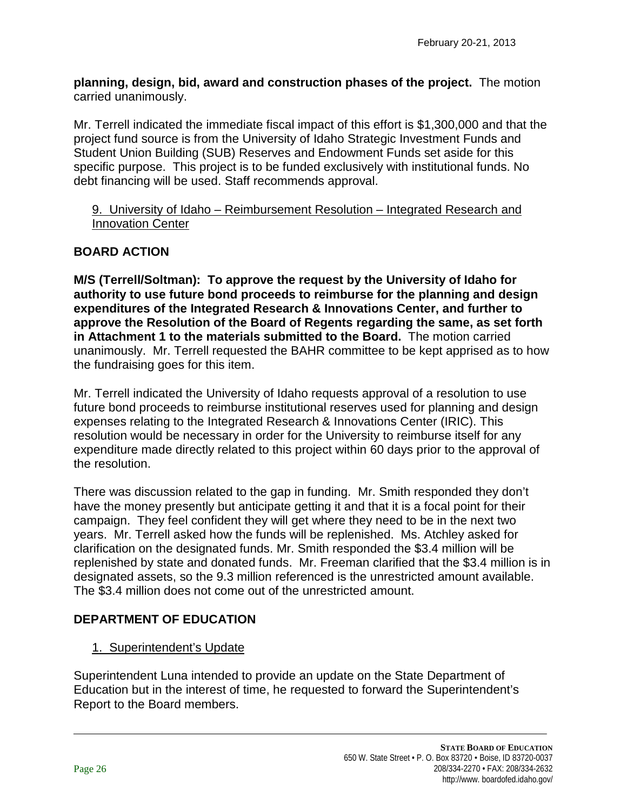**planning, design, bid, award and construction phases of the project.** The motion carried unanimously.

Mr. Terrell indicated the immediate fiscal impact of this effort is \$1,300,000 and that the project fund source is from the University of Idaho Strategic Investment Funds and Student Union Building (SUB) Reserves and Endowment Funds set aside for this specific purpose. This project is to be funded exclusively with institutional funds. No debt financing will be used. Staff recommends approval.

#### 9. University of Idaho – Reimbursement Resolution – Integrated Research and Innovation Center

# **BOARD ACTION**

**M/S (Terrell/Soltman): To approve the request by the University of Idaho for authority to use future bond proceeds to reimburse for the planning and design expenditures of the Integrated Research & Innovations Center, and further to approve the Resolution of the Board of Regents regarding the same, as set forth in Attachment 1 to the materials submitted to the Board.** The motion carried unanimously. Mr. Terrell requested the BAHR committee to be kept apprised as to how the fundraising goes for this item.

Mr. Terrell indicated the University of Idaho requests approval of a resolution to use future bond proceeds to reimburse institutional reserves used for planning and design expenses relating to the Integrated Research & Innovations Center (IRIC). This resolution would be necessary in order for the University to reimburse itself for any expenditure made directly related to this project within 60 days prior to the approval of the resolution.

There was discussion related to the gap in funding. Mr. Smith responded they don't have the money presently but anticipate getting it and that it is a focal point for their campaign. They feel confident they will get where they need to be in the next two years. Mr. Terrell asked how the funds will be replenished. Ms. Atchley asked for clarification on the designated funds. Mr. Smith responded the \$3.4 million will be replenished by state and donated funds. Mr. Freeman clarified that the \$3.4 million is in designated assets, so the 9.3 million referenced is the unrestricted amount available. The \$3.4 million does not come out of the unrestricted amount.

# **DEPARTMENT OF EDUCATION**

# 1. Superintendent's Update

Superintendent Luna intended to provide an update on the State Department of Education but in the interest of time, he requested to forward the Superintendent's Report to the Board members.